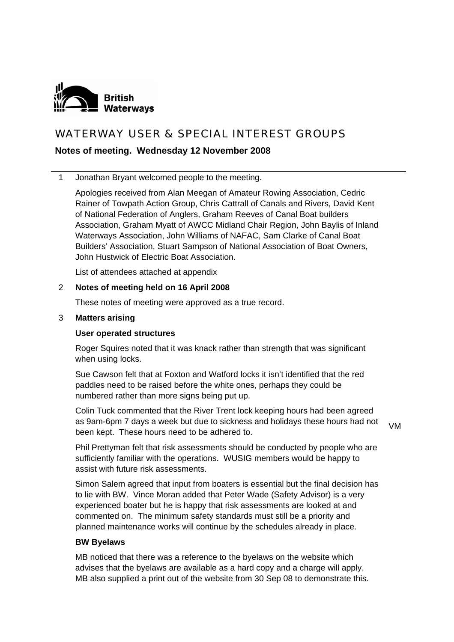

# WATERWAY USER & SPECIAL INTEREST GROUPS

# **Notes of meeting. Wednesday 12 November 2008**

1 Jonathan Bryant welcomed people to the meeting.

Apologies received from Alan Meegan of Amateur Rowing Association, Cedric Rainer of Towpath Action Group, Chris Cattrall of Canals and Rivers, David Kent of National Federation of Anglers, Graham Reeves of Canal Boat builders Association, Graham Myatt of AWCC Midland Chair Region, John Baylis of Inland Waterways Association, John Williams of NAFAC, Sam Clarke of Canal Boat Builders' Association, Stuart Sampson of National Association of Boat Owners, John Hustwick of Electric Boat Association.

List of attendees attached at appendix

#### 2 **Notes of meeting held on 16 April 2008**

These notes of meeting were approved as a true record.

#### 3 **Matters arising**

#### **User operated structures**

Roger Squires noted that it was knack rather than strength that was significant when using locks.

Sue Cawson felt that at Foxton and Watford locks it isn't identified that the red paddles need to be raised before the white ones, perhaps they could be numbered rather than more signs being put up.

Colin Tuck commented that the River Trent lock keeping hours had been agreed as 9am-6pm 7 days a week but due to sickness and holidays these hours had not been kept. These hours need to be adhered to.

VM

Phil Prettyman felt that risk assessments should be conducted by people who are sufficiently familiar with the operations. WUSIG members would be happy to assist with future risk assessments.

Simon Salem agreed that input from boaters is essential but the final decision has to lie with BW. Vince Moran added that Peter Wade (Safety Advisor) is a very experienced boater but he is happy that risk assessments are looked at and commented on. The minimum safety standards must still be a priority and planned maintenance works will continue by the schedules already in place.

#### **BW Byelaws**

MB noticed that there was a reference to the byelaws on the website which advises that the byelaws are available as a hard copy and a charge will apply. MB also supplied a print out of the website from 30 Sep 08 to demonstrate this.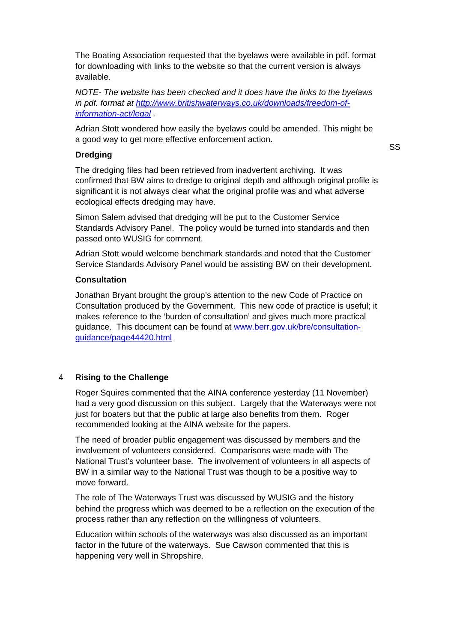The Boating Association requested that the byelaws were available in pdf. format for downloading with links to the website so that the current version is always available.

*NOTE- The website has been checked and it does have the links to the byelaws in pdf. format at [http://www.britishwaterways.co.uk/downloads/freedom-of](http://www.britishwaterways.co.uk/downloads/freedom-of-information-act/legal)[information-act/legal](http://www.britishwaterways.co.uk/downloads/freedom-of-information-act/legal) .* 

Adrian Stott wondered how easily the byelaws could be amended. This might be a good way to get more effective enforcement action.

#### **Dredging**

SS

The dredging files had been retrieved from inadvertent archiving. It was confirmed that BW aims to dredge to original depth and although original profile is significant it is not always clear what the original profile was and what adverse ecological effects dredging may have.

Simon Salem advised that dredging will be put to the Customer Service Standards Advisory Panel. The policy would be turned into standards and then passed onto WUSIG for comment.

Adrian Stott would welcome benchmark standards and noted that the Customer Service Standards Advisory Panel would be assisting BW on their development.

#### **Consultation**

Jonathan Bryant brought the group's attention to the new Code of Practice on Consultation produced by the Government. This new code of practice is useful; it makes reference to the 'burden of consultation' and gives much more practical guidance. This document can be found at [www.berr.gov.uk/bre/consultation](http://www.berr.gov.uk/bre/consultation-guidance/page44420.html)[guidance/page44420.html](http://www.berr.gov.uk/bre/consultation-guidance/page44420.html)

# 4 **Rising to the Challenge**

Roger Squires commented that the AINA conference yesterday (11 November) had a very good discussion on this subject. Largely that the Waterways were not just for boaters but that the public at large also benefits from them. Roger recommended looking at the AINA website for the papers.

The need of broader public engagement was discussed by members and the involvement of volunteers considered. Comparisons were made with The National Trust's volunteer base. The involvement of volunteers in all aspects of BW in a similar way to the National Trust was though to be a positive way to move forward.

The role of The Waterways Trust was discussed by WUSIG and the history behind the progress which was deemed to be a reflection on the execution of the process rather than any reflection on the willingness of volunteers.

Education within schools of the waterways was also discussed as an important factor in the future of the waterways. Sue Cawson commented that this is happening very well in Shropshire.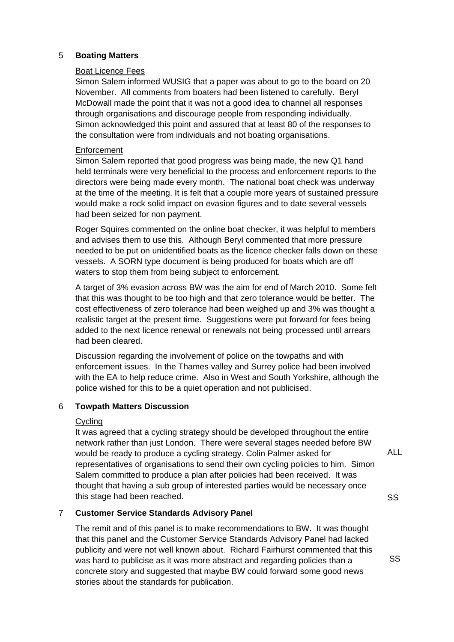# 5 **Boating Matters**

#### Boat Licence Fees

Simon Salem informed WUSIG that a paper was about to go to the board on 20 November. All comments from boaters had been listened to carefully. Beryl McDowall made the point that it was not a good idea to channel all responses through organisations and discourage people from responding individually. Simon acknowledged this point and assured that at least 80 of the responses to the consultation were from individuals and not boating organisations.

# **Enforcement**

Simon Salem reported that good progress was being made, the new Q1 hand held terminals were very beneficial to the process and enforcement reports to the directors were being made every month. The national boat check was underway at the time of the meeting. It is felt that a couple more years of sustained pressure would make a rock solid impact on evasion figures and to date several vessels had been seized for non payment.

Roger Squires commented on the online boat checker, it was helpful to members and advises them to use this. Although Beryl commented that more pressure needed to be put on unidentified boats as the licence checker falls down on these vessels. A SORN type document is being produced for boats which are off waters to stop them from being subject to enforcement.

A target of 3% evasion across BW was the aim for end of March 2010. Some felt that this was thought to be too high and that zero tolerance would be better. The cost effectiveness of zero tolerance had been weighed up and 3% was thought a realistic target at the present time. Suggestions were put forward for fees being added to the next licence renewal or renewals not being processed until arrears had been cleared.

Discussion regarding the involvement of police on the towpaths and with enforcement issues. In the Thames valley and Surrey police had been involved with the EA to help reduce crime. Also in West and South Yorkshire, although the police wished for this to be a quiet operation and not publicised.

# 6 **Towpath Matters Discussion**

# Cycling

It was agreed that a cycling strategy should be developed throughout the entire network rather than just London. There were several stages needed before BW would be ready to produce a cycling strategy. Colin Palmer asked for representatives of organisations to send their own cycling policies to him. Simon Salem committed to produce a plan after policies had been received. It was thought that having a sub group of interested parties would be necessary once this stage had been reached.

ALL

SS

# 7 **Customer Service Standards Advisory Panel**

The remit and of this panel is to make recommendations to BW. It was thought that this panel and the Customer Service Standards Advisory Panel had lacked publicity and were not well known about. Richard Fairhurst commented that this was hard to publicise as it was more abstract and regarding policies than a concrete story and suggested that maybe BW could forward some good news stories about the standards for publication.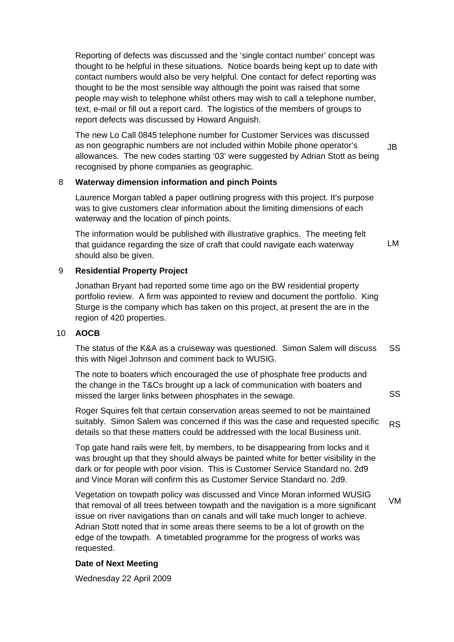Reporting of defects was discussed and the 'single contact number' concept was thought to be helpful in these situations. Notice boards being kept up to date with contact numbers would also be very helpful. One contact for defect reporting was thought to be the most sensible way although the point was raised that some people may wish to telephone whilst others may wish to call a telephone number, text, e-mail or fill out a report card. The logistics of the members of groups to report defects was discussed by Howard Anguish.

The new Lo Call 0845 telephone number for Customer Services was discussed as non geographic numbers are not included within Mobile phone operator's allowances. The new codes starting '03' were suggested by Adrian Stott as being recognised by phone companies as geographic*.*  JB

#### 8 **Waterway dimension information and pinch Points**

Laurence Morgan tabled a paper outlining progress with this project. It's purpose was to give customers clear information about the limiting dimensions of each waterway and the location of pinch points.

The information would be published with illustrative graphics. The meeting felt that guidance regarding the size of craft that could navigate each waterway should also be given. LM

#### 9 **Residential Property Project**

Jonathan Bryant had reported some time ago on the BW residential property portfolio review. A firm was appointed to review and document the portfolio. King Sturge is the company which has taken on this project, at present the are in the region of 420 properties.

# 10 **AOCB**

The status of the K&A as a cruiseway was questioned. Simon Salem will discuss this with Nigel Johnson and comment back to WUSIG. SS

The note to boaters which encouraged the use of phosphate free products and the change in the T&Cs brought up a lack of communication with boaters and missed the larger links between phosphates in the sewage*.* 

Roger Squires felt that certain conservation areas seemed to not be maintained suitably. Simon Salem was concerned if this was the case and requested specific details so that these matters could be addressed with the local Business unit. RS

SS

Top gate hand rails were felt, by members, to be disappearing from locks and it was brought up that they should always be painted white for better visibility in the dark or for people with poor vision. This is Customer Service Standard no. 2d9 and Vince Moran will confirm this as Customer Service Standard no. 2d9.

Vegetation on towpath policy was discussed and Vince Moran informed WUSIG that removal of all trees between towpath and the navigation is a more significant issue on river navigations than on canals and will take much longer to achieve. Adrian Stott noted that in some areas there seems to be a lot of growth on the edge of the towpath. A timetabled programme for the progress of works was requested. VM

# **Date of Next Meeting**

Wednesday 22 April 2009